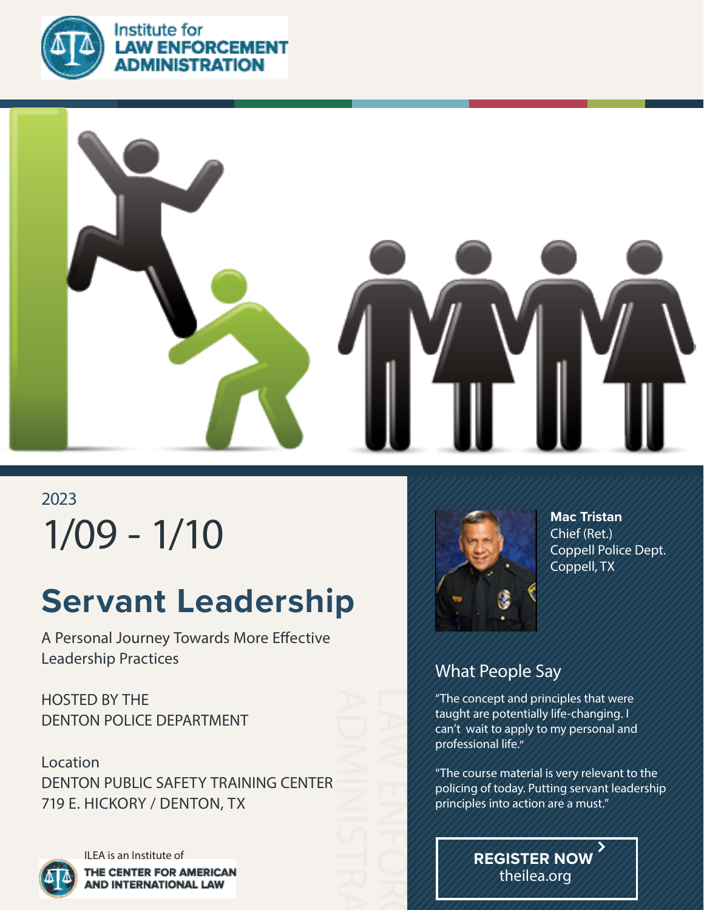

Institute for AW ENFORCEMENT **MINISTRATION** 



# 1/09 - 1/10 2023

# **Servant Leadership**

A Personal Journey Towards More Effective Leadership Practices

HOSTED BY THE DENTON POLICE DEPARTMENT

Location DENTON PUBLIC SAFETY TRAINING CENTER 719 E. HICKORY / DENTON, TX



ILEA is an Institute of THE CENTER FOR AMERICAN AND INTERNATIONAL LAW



**Mac Tristan** Chief (Ret.) Coppell Police Dept. Coppell, TX

### What People Say

LAW ENFORC

"The concept and principles that were taught are potentially life-changing. I can't wait to apply to my personal and professional life."

"The course material is very relevant to the policing of today. Putting servant leadership principles into action are a must."